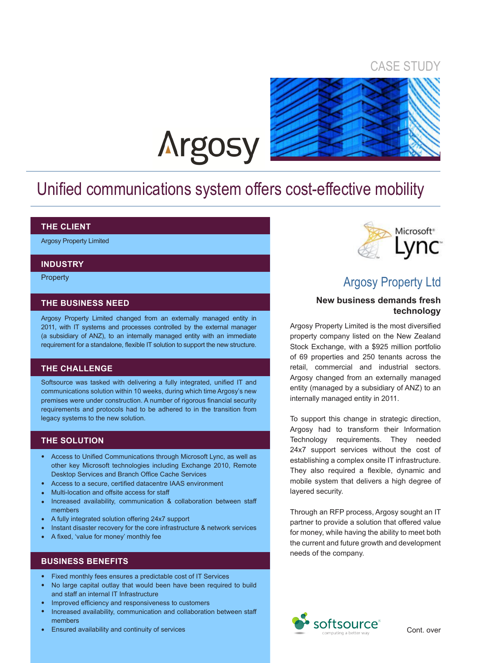### CASE STUDY



# **Argosy**

# Unified communications system offers cost-effective mobility

#### **THE CLIENT**

Argosy Property Limited

#### **INDUSTRY**

**Property** 

#### **THE BUSINESS NEED**

Argosy Property Limited changed from an externally managed entity in 2011, with IT systems and processes controlled by the external manager (a subsidiary of ANZ), to an internally managed entity with an immediate requirement for a standalone, flexible IT solution to support the new structure.

#### **THE CHALLENGE**

Softsource was tasked with delivering a fully integrated, unified IT and communications solution within 10 weeks, during which time Argosy's new premises were under construction. A number of rigorous financial security requirements and protocols had to be adhered to in the transition from legacy systems to the new solution.

#### **THE SOLUTION**

- Access to Unified Communications through Microsoft Lync, as well as other key Microsoft technologies including Exchange 2010, Remote Desktop Services and Branch Office Cache Services
- Access to a secure, certified datacentre IAAS environment •
- Multi-location and offsite access for staff •
- Increased availability, communication & collaboration between staff members •
- A fully integrated solution offering 24x7 support •
- Instant disaster recovery for the core infrastructure & network services •
- A fixed, 'value for money' monthly fee •

#### **BUSINESS BENEFITS**

- Fixed monthly fees ensures a predictable cost of IT Services •
- No large capital outlay that would been have been required to build and staff an internal IT Infrastructure •
- Improved efficiency and responsiveness to customers •
- Increased availability, communication and collaboration between staff members •
- Ensured availability and continuity of services •



## Argosy Property Ltd

#### **New business demands fresh technology**

Argosy Property Limited is the most diversified property company listed on the New Zealand Stock Exchange, with a \$925 million portfolio of 69 properties and 250 tenants across the retail, commercial and industrial sectors. Argosy changed from an externally managed entity (managed by a subsidiary of ANZ) to an internally managed entity in 2011.

To support this change in strategic direction, Argosy had to transform their Information Technology requirements. They needed 24x7 support services without the cost of establishing a complex onsite IT infrastructure. They also required a flexible, dynamic and mobile system that delivers a high degree of layered security.

Through an RFP process, Argosy sought an IT partner to provide a solution that offered value for money, while having the ability to meet both the current and future growth and development needs of the company.